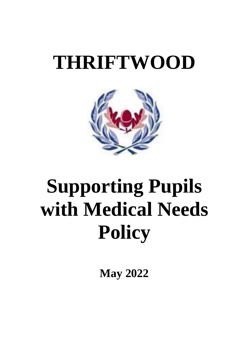# **THRIFTWOOD**



# **Supporting Pupils with Medical Needs Policy**

**May 2022**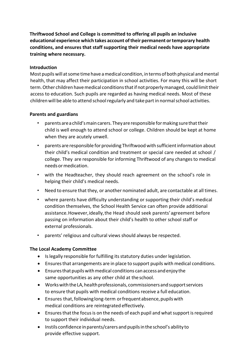**Thriftwood School and College is committed to offering all pupils an inclusive educational experience which takes account oftheir permanent ortemporary health conditions, and ensures that staff supporting their medical needs have appropriate training where necessary.**

### **Introduction**

Most pupils will at some time have a medical condition, in terms of both physical and mental health, that may affect their participation in school activities. For many this will be short term. Other children have medical conditions that if not properly managed, could limit their access to education. Such pupils are regarded as having medical needs. Most of these children will be able to attend school regularly and take part in normal school activities.

#### **Parents and guardians**

- parents are a child's main carers. They are responsible for making sure that their child is well enough to attend school or college. Children should be kept at home when they are acutely unwell.
- parents are responsible for providing Thriftwood with sufficient information about their child's medical condition and treatment or special care needed at school / college. They are responsible for informing Thriftwood of any changes to medical needsormedication.
- with the Headteacher, they should reach agreement on the school's role in helping their child's medical needs.
- Need to ensure that they, or another nominated adult, are contactable at all times.
- where parents have difficulty understanding or supporting their child's medical condition themselves, the School Health Service can often provide additional assistance.However,ideally,the Head should seek parents'agreement before passing on information about their child's health to other school staff or external professionals.
- parents' religious and cultural viewsshould always be respected.

# **The Local Academy Committee**

- Is legally responsible for fulfilling its statutory duties under legislation.
- Ensuresthat arrangements are in place to support pupils with medical conditions.
- $\bullet$  Ensures that pupils with medical conditions can access and enjoy the same opportunities as any other child at the school.
- Works with the LA, health professionals, commissioners and support services to ensure that pupils with medical conditions receive a full education.
- Ensures that, following long-term or frequent absence, pupils with medical conditions are reintegrated effectively.
- Ensures that the focus is on the needs of each pupil and what support is required to support their individual needs.
- Instils confidence inparents/carers and pupilsinthe school's ability to provide effective support.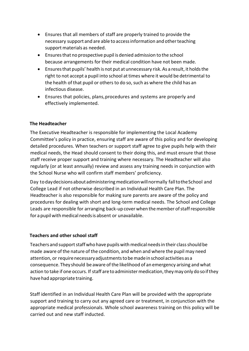- Ensures that all members of staff are properly trained to provide the necessary support and are able to access information and other teaching support materials as needed.
- Ensuresthat no prospective pupil is denied admission to the school because arrangements for their medical condition have not been made.
- Ensuresthat pupils' health is not put atunnecessary risk.As a result, it holdsthe right to not accept a pupil into school at times where it would be detrimental to the health of that pupil or others to do so, such as where the child has an infectious disease.
- Ensures that policies, plans, procedures and systems are properly and effectively implemented.

# **The Headteacher**

The Executive Headteacher is responsible for implementing the Local Academy Committee's policy in practice, ensuring staff are aware of this policy and for developing detailed procedures. When teachers or support staff agree to give pupils help with their medical needs, the Head should consent to their doing this, and must ensure that those staff receive proper support and training where necessary. The Headteacher will also regularly (or at least annually) review and assess any training needs in conjunction with the School Nurse who will confirm staff members' proficiency.

Day to day decisions about administering medication will normally fall to the School and College Lead if not otherwise described in an Individual Health Care Plan. The Headteacher is also responsible for making sure parents are aware of the policy and procedures for dealing with short and long-term medical needs. The School and College Leads are responsible for arranging back-up cover when the member of staff responsible for a pupil with medical needs is absent or unavailable.

# **Teachers and other school staff**

Teachers and support staff who have pupils with medical needs in their class should be made aware ofthe nature of the condition, and when and where the pupil may need attention, or requirenecessaryadjustmentstobemadeinschool activities asa consequence.They should be aware ofthe likelihood of an emergency arising and what action to take if one occurs. If staff are to administer medication, they may only do so if they have had appropriate training.

Staff identified in an Individual Health Care Plan will be provided with the appropriate support and training to carry out any agreed care or treatment, in conjunction with the appropriate medical professionals. Whole school awareness training on this policy will be carried out and new staff inducted.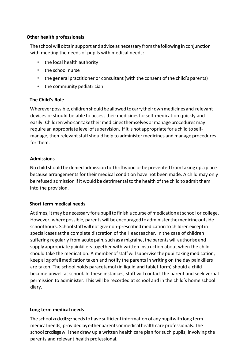## **Other health professionals**

Theschoolwillobtain support andadvice as necessary fromthefollowing in conjunction with meeting the needs of pupils with medical needs:

- the local health authority
- the school nurse
- the general practitioner or consultant (with the consent of the child's parents)
- the community pediatrician

# **The Child's Role**

Wherever possible, children should be allowed to carry their own medicines and relevant devices orshould be able to accesstheirmedicinesforself-medication quickly and easily. Children who can take their medicines themselves or manage procedures may require an appropriate level of supervision. If it is not appropriate for a child to selfmanage, then relevant staff should help to administer medicines and manage procedures for them.

# **Admissions**

No child should be denied admission to Thriftwood or be prevented from taking up a place because arrangements for their medical condition have not been made. A child may only be refused admission if it would be detrimental to the health ofthe child to admit them into the provision.

# **Short term medical needs**

At times, it may be necessary for a pupil to finish a course of medication at school or college. However, where possible, parents will be encouraged to administer the medicine outside school hours. School staff will not give non-prescribed medication to children except in special cases atthe complete discretion of the Headteacher. In the case of children suffering regularly from acute pain, such as a migraine, the parents will authorise and supply appropriate painkillers together with written instruction about when the child should take the medication. A memberofstaffwillsupervisethepupiltakingmedication, keepalogofallmedicationtaken and notify the parents in writing on the day painkillers are taken. The school holds paracetamol (in liquid and tablet form) should a child become unwell at school. In these instances, staff will contact the parent and seek verbal permission to administer. This will be recorded at school and in the child's home school diary.

#### **Long term medical needs**

The school and collegeneeds to have sufficient information of any pupil with long term medical needs, provided byeither parentsormedical health care professionals. The school or college will then draw up a written health care plan for such pupils, involving the parents and relevant health professional.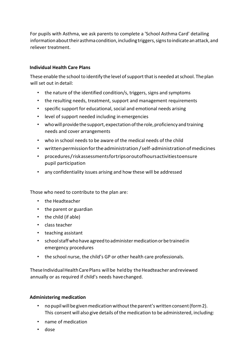For pupils with Asthma, we ask parents to complete a 'School Asthma Card' detailing information about their asthma condition, including triggers, signs to indicate an attack, and reliever treatment.

## **Individual Health Care Plans**

These enable the school to identify the level of support that is needed at school. The plan will set out in detail:

- the nature of the identified condition/s, triggers, signs and symptoms
- the resulting needs, treatment, support and management requirements
- specific support for educational, social and emotional needs arising
- level of support needed including in emergencies
- who will provide the support, expectation of the role, proficiency and training needs and cover arrangements
- who in school needs to be aware of the medical needs of the child
- writtenpermissionfortheadministration/self-administrationofmedicines
- procedures/riskassessmentsfortripsoroutofhoursactivitiestoensure pupil participation
- any confidentiality issues arising and how these will be addressed

Those who need to contribute to the plan are:

- the Headteacher
- the parent or guardian
- the child (if able)
- class teacher
- teaching assistant
- school staff who have agreed to administer medication or be trained in emergency procedures
- the school nurse, the child's GP or other health care professionals.

These Individual Health Care Plans will be held by the Headteacher and reviewed annually or as required if child's needs havechanged.

#### **Administering medication**

- nopupil will be given medication without the parent's written consent (form 2). This consent will also give details of the medication to be administered, including:
- name of medication
- dose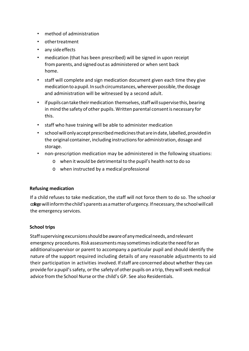- method of administration
- othertreatment
- any side effects
- medication (that has been prescribed) will be signed in upon receipt fromparents, and signed out as administered or when sent back home.
- staff will complete and sign medication document given each time they give medication to a pupil. In such circumstances, wherever possible, the dosage and administration will be witnessed by a second adult.
- if pupils can take their medication themselves, staff will supervise this, bearing in mind the safety of other pupils. Written parental consent is necessary for this.
- staff who have training will be able to administer medication
- school will only accept prescribed medicines that are in date, labelled, provided in the original container, including instructionsfor administration, dosage and storage.
- non-prescription medication may be administered in the following situations:
	- o when it would be detrimental to the pupil's health notto do so
	- o when instructed by a medical professional

#### **Refusing medication**

If a child refuses to take medication, the staff will not force them to do so. The school or college willinformthechild'sparents asamatterofurgency.Ifnecessary,theschoolwill call the emergency services.

#### **School trips**

Staff supervising excursions should be aware of any medical needs, and relevant emergency procedures. Risk assessments may sometimes indicate the need for an additionalsupervisor or parent to accompany a particular pupil and should identify the nature of the support required including details of any reasonable adjustments to aid their participation in activities involved. If staff are concerned about whether they can provide for a pupil's safety, or the safety of other pupils on a trip, they will seek medical advice fromthe School Nurse orthe child's GP. See also Residentials.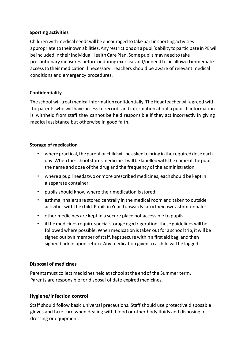# **Sporting activities**

Childrenwithmedicalneedswillbeencouragedtotakepartinsportingactivities appropriate to their own abilities. Any restrictions on a pupil's ability to participate in PE will be included in their Individual Health Care Plan. Some pupils may need to take precautionarymeasures before or during exercise and/or need to be allowed immediate accessto their medication if necessary. Teachers should be aware of relevant medical conditions and emergency procedures.

# **Confidentiality**

Theschool willtreatmedicalinformationconfidentially.TheHeadteacherwillagreed with the parents who will have accessto records and information about a pupil. If information is withheld from staff they cannot be held responsible if they act incorrectly in giving medical assistance but otherwise in good faith.

#### **Storage of medication**

- where practical, the parent or child will be asked to bring in the required dose each day. When the school stores medicine it will be labelled with the name of the pupil, the name and dose of the drug and the frequency of the administration.
- where a pupil needstwo ormore prescribed medicines, each should be keptin a separate container.
- pupils should know where their medication isstored.
- asthma inhalers are stored centrally in the medical room and taken to outside activities with the child. Pupils in Year 9 upwards carry their own asthma inhaler
- other medicines are kept in a secure place not accessible to pupils
- if the medicines require special storage eg refrigeration, these guidelines will be followed where possible. When medication is taken out for a school trip, it will be signed out by a member of staff, kept secure within a first aid bag, and then signed back in upon return. Any medication given to a child will be logged.

#### **Disposal of medicines**

Parents must collect medicines held at school at the end of the Summer term. Parents are responsible for disposal of date expired medicines.

#### **Hygiene/infection control**

Staff should follow basic universal precautions. Staff should use protective disposable gloves and take care when dealing with blood or other body fluids and disposing of dressing or equipment.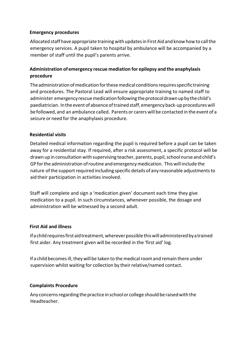## **Emergency procedures**

Allocated staff have appropriate training with updates in First Aid and know how to call the emergency services. A pupil taken to hospital by ambulance will be accompanied by a member of staff until the pupil's parents arrive.

# **Administration of emergency rescue mediation for epilepsy and the anaphylaxis procedure**

The administration of medication for these medical conditions requires specific training and procedures. The Pastoral Lead will ensure appropriate training to named staff to administer emergency rescue medication following the protocol drawn up by the child's paediatrician. In the event of absence of trained staff, emergency back-up procedures will be followed,and an ambulance called. Parents or carers will be contacted in the event of a seizure or need for the anaphylaxis procedure.

# **Residential visits**

Detailed medical information regarding the pupil is required before a pupil can be taken away for a residential stay. If required, after a risk assessment, a specific protocol will be drawn up in consultation with supervising teacher, parents, pupil, school nurse and child's GPforthe administration ofroutine and emergencymedication. Thiswill include the nature of the support required including specific details of any reasonable adjustments to aid their participation in activities involved.

Staff will complete and sign a 'medication given' document each time they give medication to a pupil. In such circumstances, whenever possible, the dosage and administration will be witnessed by a second adult.

#### **First Aid and illness**

Ifachildrequiresfirstaidtreatment,whereverpossiblethiswilladministeredbyatrained first aider. Any treatment given will be recorded in the 'first aid' log.

If a child becomes ill, they will be taken to the medical room and remain there under supervision whilst waiting for collection by their relative/named contact.

#### **Complaints Procedure**

Any concerns regarding the practice in school or college should be raised with the Headteacher.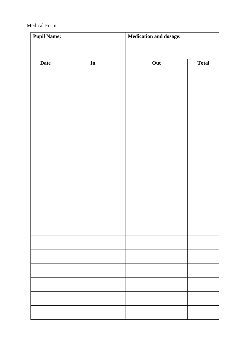#### Medical Form 1

| <b>Pupil Name:</b> |    | <b>Medication and dosage:</b> |              |
|--------------------|----|-------------------------------|--------------|
|                    |    |                               |              |
| <b>Date</b>        | In | Out                           | <b>Total</b> |
|                    |    |                               |              |
|                    |    |                               |              |
|                    |    |                               |              |
|                    |    |                               |              |
|                    |    |                               |              |
|                    |    |                               |              |
|                    |    |                               |              |
|                    |    |                               |              |
|                    |    |                               |              |
|                    |    |                               |              |
|                    |    |                               |              |
|                    |    |                               |              |
|                    |    |                               |              |
|                    |    |                               |              |
|                    |    |                               |              |
|                    |    |                               |              |
|                    |    |                               |              |
|                    |    |                               |              |
|                    |    |                               |              |
|                    |    |                               |              |
|                    |    |                               |              |
|                    |    |                               |              |
|                    |    |                               |              |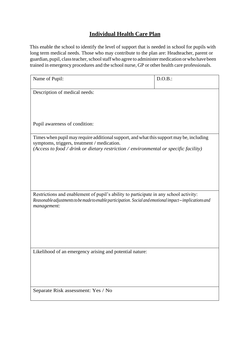# **Individual Health Care Plan**

This enable the school to identify the level of support that is needed in school for pupils with long term medical needs. Those who may contribute to the plan are: Headteacher, parent or guardian, pupil, class teacher, school staff who agree to administer medication or who have been trained in emergency procedures and the school nurse, GP or other health care professionals.

| Name of Pupil:                                                                                                                                                                                                                  | D.O.B.: |
|---------------------------------------------------------------------------------------------------------------------------------------------------------------------------------------------------------------------------------|---------|
| Description of medical needs:                                                                                                                                                                                                   |         |
|                                                                                                                                                                                                                                 |         |
|                                                                                                                                                                                                                                 |         |
| Pupil awareness of condition:                                                                                                                                                                                                   |         |
| Times when pupil may require additional support, and what this support may be, including<br>symptoms, triggers, treatment / medication.<br>(Access to food / drink or dietary restriction / environmental or specific facility) |         |
|                                                                                                                                                                                                                                 |         |
|                                                                                                                                                                                                                                 |         |
|                                                                                                                                                                                                                                 |         |
| Restrictions and enablement of pupil's ability to participate in any school activity:<br>Reasonable adjustments to be made to enable participation. Social and emotional impact-implications and<br>management:                 |         |
|                                                                                                                                                                                                                                 |         |
|                                                                                                                                                                                                                                 |         |
|                                                                                                                                                                                                                                 |         |
| Likelihood of an emergency arising and potential nature:                                                                                                                                                                        |         |
|                                                                                                                                                                                                                                 |         |
|                                                                                                                                                                                                                                 |         |
| Separate Risk assessment: Yes / No                                                                                                                                                                                              |         |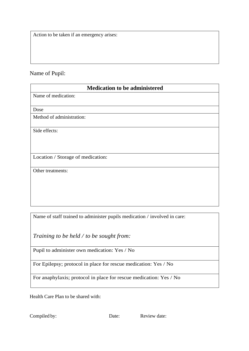Action to be taken if an emergency arises:

# Name of Pupil:

| <b>Medication to be administered</b> |  |  |
|--------------------------------------|--|--|
| Name of medication:                  |  |  |
|                                      |  |  |
| Dose                                 |  |  |
| Method of administration:            |  |  |
| Side effects:                        |  |  |
|                                      |  |  |
| Location / Storage of medication:    |  |  |
| Other treatments:                    |  |  |
|                                      |  |  |

Name of staff trained to administer pupils medication / involved in care:

*Training to be held / to be sought from:*

Pupil to administer own medication: Yes / No

For Epilepsy; protocol in place for rescue medication: Yes / No

For anaphylaxis; protocol in place for rescue medication: Yes / No

Health Care Plan to be shared with: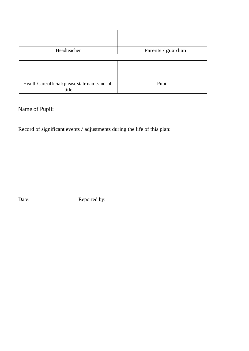| Headteacher                                              | Parents / guardian |
|----------------------------------------------------------|--------------------|
|                                                          |                    |
|                                                          |                    |
|                                                          |                    |
|                                                          |                    |
| Health Care official: please state name and job<br>title | Pupil              |

# Name of Pupil:

Record of significant events / adjustments during the life of this plan:

Date: Reported by: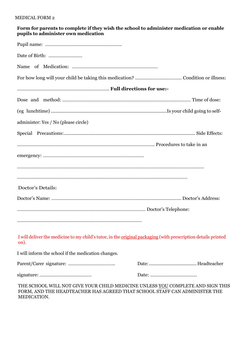| Form for parents to complete if they wish the school to administer medication or enable |  |
|-----------------------------------------------------------------------------------------|--|
| pupils to administer own medication                                                     |  |

| administer: Yes / No (please circle)                                                                                         |
|------------------------------------------------------------------------------------------------------------------------------|
|                                                                                                                              |
|                                                                                                                              |
|                                                                                                                              |
|                                                                                                                              |
|                                                                                                                              |
| Doctor's Details:                                                                                                            |
|                                                                                                                              |
|                                                                                                                              |
|                                                                                                                              |
| I will deliver the medicine to my child's tutor, in the <u>original packaging</u> (with prescription details printed<br>on). |

I will inform the school if the medication changes.

THE SCHOOL WILL NOT GIVE YOUR CHILD MEDICINE UNLESS YOU COMPLETE AND SIGN THIS FORM, AND THE HEADTEACHER HAS AGREED THAT SCHOOL STAFF CAN ADMINISTER THE MEDICATION.